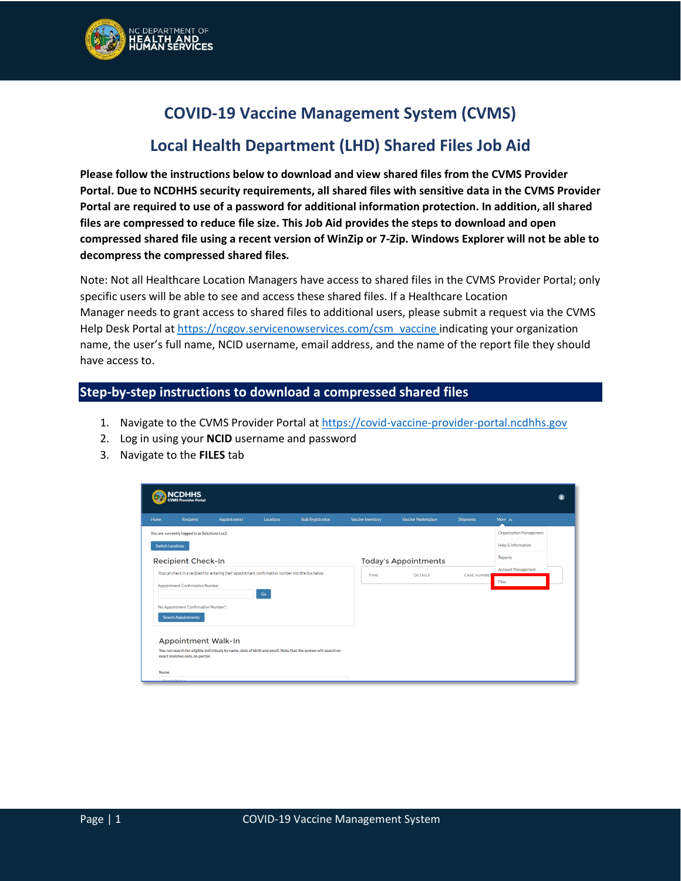

# **COVID-19 Vaccine Management System (CVMS)**

## **Local Health Department (LHD) Shared Files Job Aid**

**Please follow the instructions below to download and view shared files from the CVMS Provider Portal. Due to NCDHHS security requirements, all shared files with sensitive data in the CVMS Provider Portal are required to use of a password for additional information protection. In addition, all shared files are compressed to reduce file size. This Job Aid provides the steps to download and open compressed shared file using a recent version of WinZip or 7-Zip. Windows Explorer will not be able to decompress the compressed shared files.**

Note: Not all Healthcare Location Managers have access to shared files in the CVMS Provider Portal; only specific users will be able to see and access these shared files. If a Healthcare Location Manager needs to grant access to shared files to additional users, please submit a request via the CVMS Help Desk Portal at [https://ncgov.servicenowservices.com/csm\\_vaccine](https://ncgov.servicenowservices.com/csm_vaccine) indicating your organization name, the user's full name, NCID username, email address, and the name of the report file they should have access to.

#### **Step-by-step instructions to download a compressed shared files**

- 1. Navigate to the CVMS Provider Portal at [https://covid-vaccine-provider-portal.ncdhhs.gov](https://covid-vaccine-provider-portal.ncdhhs.gov/)
- 2. Log in using your **NCID** username and password
- 3. Navigate to the **FILES** tab

|                         | <b>DHHS</b><br><b>CVMS Provider Portal</b>                    |                                                                                                   |           |                                                                                                               |                          |                             |                    |                                |  |
|-------------------------|---------------------------------------------------------------|---------------------------------------------------------------------------------------------------|-----------|---------------------------------------------------------------------------------------------------------------|--------------------------|-----------------------------|--------------------|--------------------------------|--|
| Home                    | Recipient                                                     | Appointments                                                                                      | Locations | <b>Bulk Registration</b>                                                                                      | <b>Vaccine Inventory</b> | Vaccine Marketplace         | <b>Shipments</b>   | More $\sim$                    |  |
|                         | You are currently logged in as Solutions Loc2                 |                                                                                                   |           |                                                                                                               |                          |                             |                    | <b>Organization Management</b> |  |
| <b>Switch Locations</b> |                                                               |                                                                                                   |           |                                                                                                               |                          |                             |                    | Help & Information             |  |
|                         | <b>Recipient Check-In</b>                                     |                                                                                                   |           |                                                                                                               |                          | <b>Today's Appointments</b> |                    | Reports                        |  |
|                         |                                                               | You can check in a recipient by entering their appointment confirmation number into the box below |           |                                                                                                               | TIME                     | <b>DETAILS</b>              | <b>CASE NUMBER</b> | Account Management             |  |
|                         | <b>Appointment Confirmation Number</b>                        |                                                                                                   |           |                                                                                                               |                          |                             |                    | Files                          |  |
|                         |                                                               |                                                                                                   | Go        |                                                                                                               |                          |                             |                    |                                |  |
|                         | No Appointment Confirmation Number?                           |                                                                                                   |           |                                                                                                               |                          |                             |                    |                                |  |
|                         | <b>Search Appointments</b>                                    |                                                                                                   |           |                                                                                                               |                          |                             |                    |                                |  |
|                         | <b>Appointment Walk-In</b><br>exact matches only, no partial. |                                                                                                   |           | You can search for eligible individuals by name, date of birth and email. Note that the system will search on |                          |                             |                    |                                |  |
| Name                    | Concelli Marie                                                |                                                                                                   |           |                                                                                                               |                          |                             |                    |                                |  |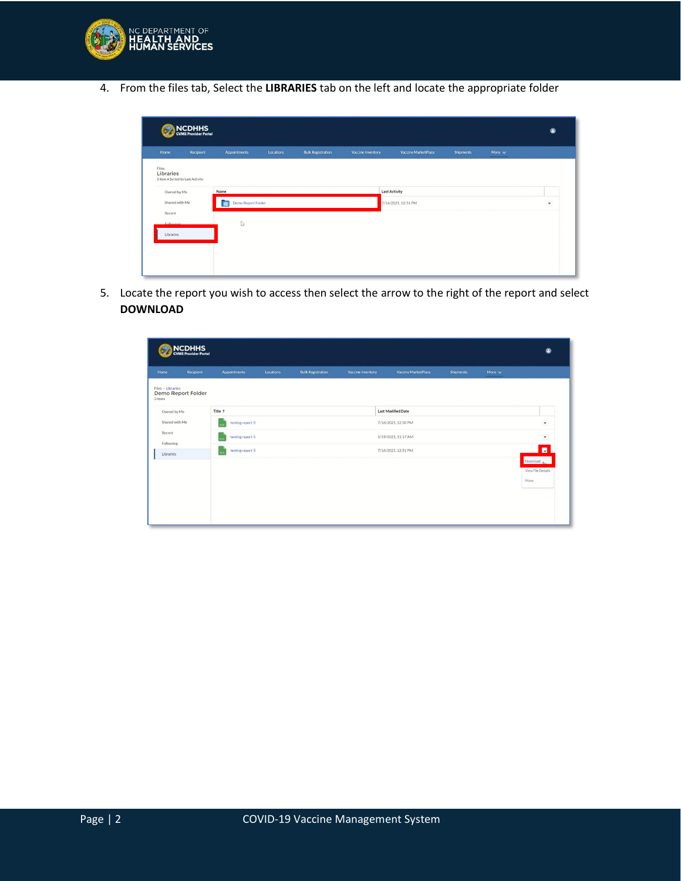

4. From the files tab, Select the **LIBRARIES** tab on the left and locate the appropriate folder

| <b>NCDHHS</b><br>CVMS Provider Portal                  |                                 |           |                          |                   |                      |                  |                                         | $\bullet$            |
|--------------------------------------------------------|---------------------------------|-----------|--------------------------|-------------------|----------------------|------------------|-----------------------------------------|----------------------|
| Recipient<br>Home                                      | Appointments                    | Locations | <b>Bulk Registration</b> | Vaccine Inventory | Vaccine MarketPlace  | <b>Shipments</b> | More $\vee$<br><b>PERSONAL PROPERTY</b> |                      |
| Files<br>Libraries<br>1 item . Sorted by Last Activity |                                 |           |                          |                   |                      |                  |                                         |                      |
| Owned by Me                                            | Name                            |           |                          |                   | <b>Last Activity</b> |                  |                                         |                      |
| Shared with Me                                         | Demo Report Folder<br><b>To</b> |           |                          |                   | 7/16/2021, 12:51 PM  |                  |                                         | $\blacktriangledown$ |
| Recent                                                 |                                 |           |                          |                   |                      |                  |                                         |                      |
| Following                                              | r.                              |           |                          |                   |                      |                  |                                         |                      |
| Libraries                                              |                                 |           |                          |                   |                      |                  |                                         |                      |
|                                                        |                                 |           |                          |                   |                      |                  |                                         |                      |
|                                                        |                                 |           |                          |                   |                      |                  |                                         |                      |
|                                                        |                                 |           |                          |                   |                      |                  |                                         |                      |
|                                                        |                                 |           |                          |                   |                      |                  |                                         |                      |

5. Locate the report you wish to access then select the arrow to the right of the report and select **DOWNLOAD**

|                                                    | <b>NCDHHS</b><br>CVMS Provider Portal |                     |           |                          |                   |                      |                  |             | $\bullet$                                           |
|----------------------------------------------------|---------------------------------------|---------------------|-----------|--------------------------|-------------------|----------------------|------------------|-------------|-----------------------------------------------------|
| Home                                               | Recipient                             | <b>Appointments</b> | Locations | <b>Bulk Registration</b> | Vaccine Inventory | Vaccine Market Place | <b>Shipments</b> | More $\vee$ |                                                     |
| Files - Libraries<br>Demo Report Folder<br>3 items |                                       |                     |           |                          |                   |                      |                  |             |                                                     |
| Owned by Me                                        |                                       | Title +             |           |                          |                   | Last Modified Date   |                  |             |                                                     |
| Shared with Me                                     |                                       | testing report 5    |           |                          |                   | 7/16/2021, 12:50 PM  |                  |             | $\blacktriangledown$                                |
| Recent<br>Following                                |                                       | testing report 5    |           |                          |                   | 5/19/2021.11:17 AM   |                  |             | $\blacktriangledown$                                |
| Libraries                                          |                                       | testing report 5    |           |                          |                   | 7/16/2021.12:51 PM   |                  |             | ы                                                   |
|                                                    |                                       |                     |           |                          |                   |                      |                  |             | Download <sub>B-</sub><br>View File Details<br>Move |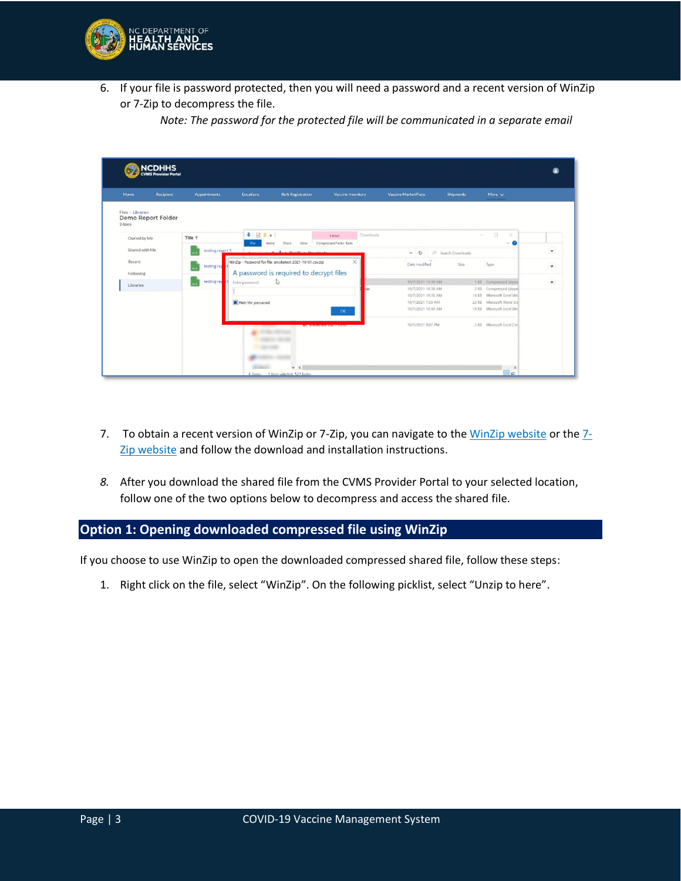

6. If your file is password protected, then you will need a password and a recent version of WinZip or 7-Zip to decompress the file.

*Note: The password for the protected file will be communicated in a separate email*

|                              | <b>NCDHHS</b><br><b>CVMS Provider Portal</b> |                     |                             |                                                          |                                                 |                         |                    |                                   | ◉                    |
|------------------------------|----------------------------------------------|---------------------|-----------------------------|----------------------------------------------------------|-------------------------------------------------|-------------------------|--------------------|-----------------------------------|----------------------|
| Home                         | <b>Recipient</b>                             | <b>Appointments</b> | Locations                   | <b>Bulk Registration</b>                                 | Vaccine Inventory                               | Vaccine MarketPlace     | <b>Shipments</b>   | More $\vee$                       |                      |
| Files > Libraries<br>3 items | Demo Report Folder                           |                     |                             |                                                          |                                                 |                         |                    |                                   |                      |
| Owned by Me                  |                                              | Title 1             | $+ 8 + 1$<br>File:<br>Home: | Share<br>View                                            | Downloads<br>Extract<br>Compressed Folder Tools |                         | $\sim$             | $\square$<br>$\times$<br>$\vee$ 0 |                      |
| Shared with Me               |                                              | testing report 5    |                             |                                                          |                                                 | U                       | C Search Downloads |                                   | $\mathbf{v}$         |
| Recent                       |                                              | testing reg         |                             | WinZip - Password for file: smoketest-2021-10-01.csv.zip | $\times$                                        | $\sim$<br>Date modified | Size               | Type                              | $\blacktriangledown$ |
| Following                    |                                              | testing reg         | Enter password:             | A password is required to decrypt files<br>$\mathcal{L}$ |                                                 | 10/7/2021 10:39 AM      |                    | 1 KB Compressed (zippe            | $\mathbf{v}$         |
| Libraries                    |                                              |                     |                             |                                                          | csy                                             | 10/7/2021 10:38 AM      | $2$ KB             | Compressed (zippe)                |                      |
|                              |                                              |                     |                             |                                                          |                                                 | 10/7/2021 10:35 AM      | 14 KB              | Microsoft Excel Wo                |                      |
|                              |                                              |                     | Hide the password           |                                                          |                                                 | 10/7/2021 7:59 AM       | 23 KB              | Microsoft Word Do                 |                      |
|                              |                                              |                     |                             |                                                          | OK                                              | 10/7/2021 10:44 AM      |                    | 14 KB Microsoft Excel Wo          |                      |
|                              |                                              |                     |                             |                                                          | <b>PT SURFROOT CUC IT IUTU</b>                  | 10/1/2021 9:07 PM       |                    | 2 KB Microsoft Excel Cor          |                      |
|                              |                                              |                     |                             |                                                          |                                                 |                         |                    |                                   |                      |
|                              |                                              |                     |                             |                                                          |                                                 |                         |                    |                                   |                      |
|                              |                                              |                     |                             |                                                          |                                                 |                         |                    |                                   |                      |
|                              |                                              |                     |                             | $\vee$ <                                                 |                                                 |                         |                    | $\rightarrow$                     |                      |
|                              |                                              |                     |                             | 6 items 1 item selected 527 bytes                        |                                                 |                         |                    | <b>BE</b>                         |                      |

- 7. To obtain a recent version of WinZip or 7-Zip, you can navigate to the [WinZip website](https://www.winzip.com/en/download/winzip/) or the [7-](https://www.7-zip.org/download.html) [Zip website](https://www.7-zip.org/download.html) and follow the download and installation instructions.
- *8.* After you download the shared file from the CVMS Provider Portal to your selected location, follow one of the two options below to decompress and access the shared file.

### **Option 1: Opening downloaded compressed file using WinZip**

If you choose to use WinZip to open the downloaded compressed shared file, follow these steps:

1. Right click on the file, select "WinZip". On the following picklist, select "Unzip to here".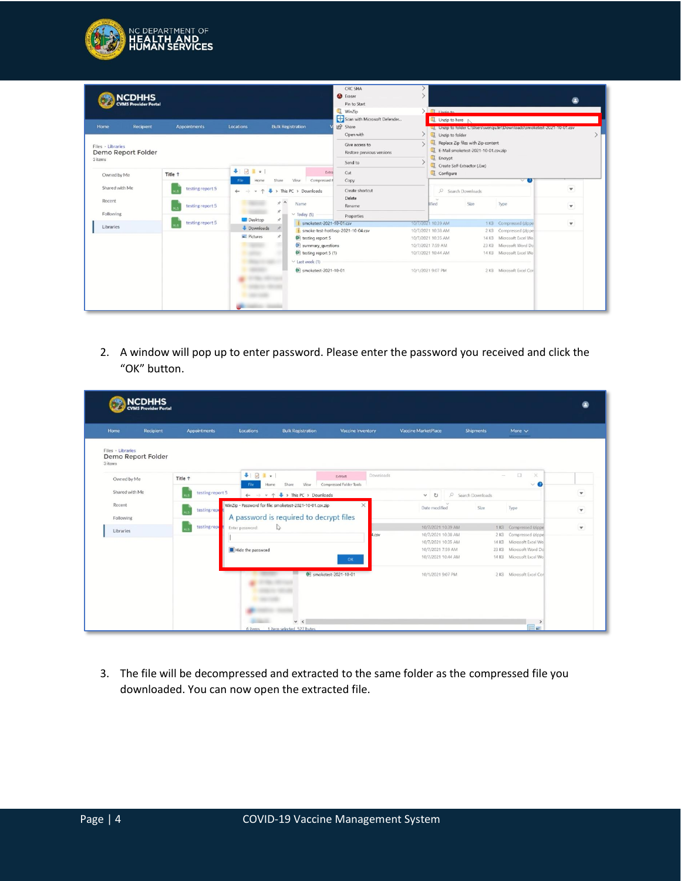

| <b>NCDHHS</b><br><b>CVMS Provider Portal</b> |                     |                           |                                                                      | <b>CRC SHA</b><br><b>O</b> Eraser<br>Pin to Start<br>WinZip<br>Scan with Microsoft Defender | $\sum$ Illumin to<br>Unzip to here N    |                                     |                                                                       | ◉                                                     |
|----------------------------------------------|---------------------|---------------------------|----------------------------------------------------------------------|---------------------------------------------------------------------------------------------|-----------------------------------------|-------------------------------------|-----------------------------------------------------------------------|-------------------------------------------------------|
| <b>Recipient</b><br>Home                     | <b>Appointments</b> | Locations                 | <b>Bulk Registration</b>                                             | $\triangle$ Share                                                                           |                                         |                                     | Unzip to folder C:\Users\wenqu.lin\Downloads\smoketest-2021-10-01.csv |                                                       |
| Files - Libraries                            |                     |                           |                                                                      | Open with<br>Give access to                                                                 | Unzip to folder<br>q.                   | Replace Zip files with Zip content  |                                                                       |                                                       |
| Demo Report Folder                           |                     |                           |                                                                      | Restore previous versions                                                                   | Q<br>Encrypt                            | E-Mail smoketest-2021-10-01.csv.zip |                                                                       |                                                       |
| 3 items                                      |                     |                           |                                                                      | Send to                                                                                     |                                         | Create Self-Extractor (.Exe)        |                                                                       |                                                       |
| Owned by Me                                  | Title 1             | $+ 3 + 1$<br>File<br>Home | Extra<br>Compressed F<br>View<br>Share                               | Cut<br>Copy                                                                                 | Configure                               |                                     | $\sqrt{2}$                                                            |                                                       |
| Shared with Me                               | testing report 5    | $\leftrightarrow$         | > This PC > Downloads                                                | Create shortcut                                                                             |                                         | $O$ Search Downloads                |                                                                       | $\mathbf{v}$                                          |
| Recent                                       | testing report 5    |                           | $\hat{\phantom{a}}$<br>Name                                          | Delete<br>Rename                                                                            | $\sim$<br>lified                        | Size                                | Type                                                                  | $\overline{\phantom{a}}$<br>$\boldsymbol{\mathrm{v}}$ |
| Following<br>Libraries                       | testing report 5    | Desktop                   | $\vee$ Today (5)<br>$\overrightarrow{A}$<br>smoketest-2021-10-01.csv | Properties                                                                                  | 10/7/2021 10:39 AM                      |                                     | 1 KB Compressed (zippe)                                               | $\boldsymbol{\mathrm{v}}$                             |
|                                              |                     | Downloads<br>$=$ Pictures | smoke-test-hotifxsp-2021-10-04.csv<br>$\mathcal{A}$                  |                                                                                             | 10/7/2021 10:38 AM                      |                                     | 2 KB Compressed (zippe)                                               |                                                       |
|                                              |                     |                           | <sup>(3)</sup> testing report 5<br>summary_questions                 |                                                                                             | 10/7/2021 10:35 AM<br>10/7/2021 7:59 AM | 14 KB                               | Microsoft Excel Wo<br>23 KB Microsoft Word Do                         |                                                       |
|                                              |                     |                           | <sup>(3)</sup> testing report 5 (1)                                  |                                                                                             | 10/7/2021 10:44 AM                      |                                     | 14 KB Microsoft Excel Wo                                              |                                                       |
|                                              |                     |                           | $\vee$ Last week (1)                                                 |                                                                                             |                                         |                                     |                                                                       |                                                       |
|                                              |                     |                           | 8 smoketest-2021-10-01                                               |                                                                                             | 10/1/2021 9:07 PM                       |                                     | 2 KB Microsoft Excel Cor                                              |                                                       |

2. A window will pop up to enter password. Please enter the password you received and click the "OK" button.

| Home<br>Recipient  | <b>Appointments</b> | Locations                                                | <b>Bulk Registration</b>      | <b>Vaccine Inventory</b> | Vaccine MarketPlace     | <b>Shipments</b>         | More $\vee$              |                         |
|--------------------|---------------------|----------------------------------------------------------|-------------------------------|--------------------------|-------------------------|--------------------------|--------------------------|-------------------------|
|                    |                     |                                                          |                               |                          |                         |                          |                          |                         |
| Files > Libraries  |                     |                                                          |                               |                          |                         |                          |                          |                         |
| Demo Report Folder |                     |                                                          |                               |                          |                         |                          |                          |                         |
| 3 items            |                     |                                                          |                               |                          |                         |                          |                          |                         |
| Owned by Me        | Title 1             | $+ 8 + - 1$                                              |                               | Downloads<br>Extract     |                         | $\overline{\phantom{a}}$ | $\Box$<br>×              |                         |
| Shared with Me     | testing report 5    | Home                                                     | Share<br>View                 | Compressed Folder Tools  |                         |                          | $\vee$ 0                 | $\mathbf{v}$            |
|                    |                     |                                                          | ← → v ↑ → This PC > Downloads |                          | $v$ 0                   | C Search Downloads       |                          |                         |
| Recent             | testing repo        | WinZip - Password for file: smoketest-2021-10-01.csv.zip |                               | ×                        | $\sim$<br>Date modified | Size.                    | Type                     | $\overline{\mathbf{v}}$ |
| Following          |                     | A password is required to decrypt files                  |                               |                          |                         |                          |                          |                         |
|                    | testing repe        | Enter password:                                          | $\mathcal{L}$                 |                          | 10/7/2021 10:39 AM      |                          | 1 KB Compressed (zippe   | $\mathbf v$             |
| Libraries          |                     |                                                          |                               | 4.csv                    | 10/7/2021 10:38 AM      |                          | 2 KB Compressed (zippe)  |                         |
|                    |                     |                                                          |                               |                          | 10/7/2021 10:35 AM      | 14 KB                    | Microsoft Excel Wo       |                         |
|                    |                     | Hide the password                                        |                               |                          | 10/7/2021 7:59 AM       | 23 KB                    | Microsoft Word Da        |                         |
|                    |                     |                                                          |                               | OK                       | 10/7/2021 10:44 AM      | 14 KB                    | Microsoft Excel Wo       |                         |
|                    |                     |                                                          |                               | 8 smoketest-2021-10-01   | 10/1/2021 9:07 PM       |                          | 2 KB Microsoft Excel Cor |                         |
|                    |                     |                                                          |                               |                          |                         |                          |                          |                         |
|                    |                     |                                                          |                               |                          |                         |                          |                          |                         |
|                    |                     |                                                          |                               |                          |                         |                          |                          |                         |
|                    |                     |                                                          |                               |                          |                         |                          |                          |                         |
|                    |                     |                                                          |                               |                          |                         |                          |                          |                         |
|                    |                     |                                                          | $\vee$ <                      |                          |                         |                          |                          |                         |

3. The file will be decompressed and extracted to the same folder as the compressed file you downloaded. You can now open the extracted file.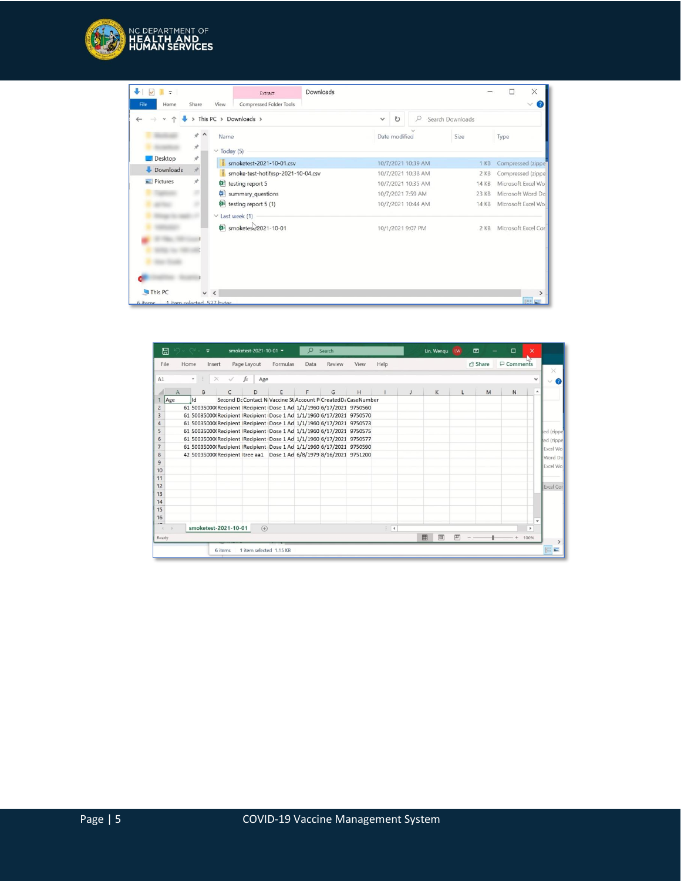

| J.<br>$\overline{\mathbf{v}}$<br>File<br>Home | Share                          | Downloads<br>Extract<br>Compressed Folder Tools<br>View |              |               |                    |                  |                     |
|-----------------------------------------------|--------------------------------|---------------------------------------------------------|--------------|---------------|--------------------|------------------|---------------------|
|                                               | $\rightarrow$                  | This PC $\rightarrow$ Downloads $\rightarrow$           | $\checkmark$ | U             | $\circ$            | Search Downloads |                     |
|                                               | $\hat{}$<br>À<br>$\mathcal{R}$ | Name<br>$\vee$ Today (5)                                |              | Date modified |                    | Size             | Type                |
| Desktop                                       | $\mathcal{R}$                  | smoketest-2021-10-01.csv                                |              |               | 10/7/2021 10:39 AM | 1 KB             | Compressed (zippe   |
| Downloads                                     | $\mathcal{N}$                  | smoke-test-hotifxsp-2021-10-04.csv                      |              |               | 10/7/2021 10:38 AM | 2KB              | Compressed (zippe   |
| $=$ Pictures                                  | $\mathcal{R}$                  | 연리<br>testing report 5                                  |              |               | 10/7/2021 10:35 AM | <b>14 KB</b>     | Microsoft Excel Wo  |
|                                               | п                              | w-<br>summary_questions                                 |              |               | 10/7/2021 7:59 AM  | 23 KB            | Microsoft Word Dc   |
|                                               |                                | testing report 5 (1)                                    |              |               | 10/7/2021 10:44 AM | <b>14 KB</b>     | Microsoft Excel Wo  |
|                                               |                                | $\vee$ Last week (1)<br>图 smoketes 2021-10-01           |              |               | 10/1/2021 9:07 PM  | $2$ KB           | Microsoft Excel Cor |
| This PC                                       |                                | $\langle$                                               |              |               |                    |                  | $\rightarrow$       |
| 1 item selected 527 hytes<br>6 items          |                                |                                                         |              |               |                    |                  | 阳中                  |

| 日                       | $\cup$ $\cup$ $\cup$ |      |             | ᢑ      |                      | smoketest-2021-10-01 -  |                                                                          | O    | Search |      |                      |              |   | Lin, Wenqu LW |   | 囨        | $\Box$          | ×                        |                  |
|-------------------------|----------------------|------|-------------|--------|----------------------|-------------------------|--------------------------------------------------------------------------|------|--------|------|----------------------|--------------|---|---------------|---|----------|-----------------|--------------------------|------------------|
| File                    |                      | Home |             | Insert |                      | Page Layout             | Formulas                                                                 | Data | Review | View | Help                 |              |   |               |   | IR Share | $\Box$ Comments |                          |                  |
| A1                      |                      |      | $\mathbf v$ |        |                      | $f_x$<br>Age            |                                                                          |      |        |      |                      |              |   |               |   |          |                 | $\checkmark$             | ×                |
|                         |                      |      | B           |        |                      | $\mathsf{D}$            | E                                                                        | F    | G      | H    | $\mathbf{1}$         | $\mathsf{J}$ |   | K             | L | M        | $\mathsf{N}$    | ۸                        |                  |
|                         | Age                  |      | Id          |        |                      |                         | Second Dc Contact Ni Vaccine St Account P Created Da Case Number         |      |        |      |                      |              |   |               |   |          |                 |                          |                  |
| $\overline{c}$          |                      |      |             |        |                      |                         | 61 50035000(Recipient   Recipient   Dose 1 Ad 1/1/1960 6/17/2021 9750560 |      |        |      |                      |              |   |               |   |          |                 |                          |                  |
| $\overline{\mathbf{3}}$ |                      |      |             |        |                      |                         | 61 50035000(Recipient   Recipient   Dose 1 Ad 1/1/1960 6/17/2021 9750570 |      |        |      |                      |              |   |               |   |          |                 |                          |                  |
| $\overline{4}$          |                      |      |             |        |                      |                         | 61 50035000(Recipient   Recipient   Dose 1 Ad 1/1/1960 6/17/2021 9750573 |      |        |      |                      |              |   |               |   |          |                 |                          |                  |
| 5                       |                      |      |             |        |                      |                         | 61 50035000(Recipient   Recipient   Dose 1 Ad 1/1/1960 6/17/2021 9750575 |      |        |      |                      |              |   |               |   |          |                 |                          | sed (zippe)      |
| 6                       |                      |      |             |        |                      |                         | 61 50035000(Recipient   Recipient   Dose 1 Ad 1/1/1960 6/17/2021 9750577 |      |        |      |                      |              |   |               |   |          |                 |                          | sed (zippe)      |
| $\overline{7}$          |                      |      |             |        |                      |                         | 61 50035000(Recipient   Recipient : Dose 1 Ad 1/1/1960 6/17/2021 9750590 |      |        |      |                      |              |   |               |   |          |                 |                          | Excel Wo         |
| 8                       |                      |      |             |        |                      |                         | 42 50035000(Recipient Itree aa1 Dose 1 Ad 6/8/1979 8/16/2021 9751200     |      |        |      |                      |              |   |               |   |          |                 |                          | Word Do          |
| 9                       |                      |      |             |        |                      |                         |                                                                          |      |        |      |                      |              |   |               |   |          |                 |                          | Excel Wo         |
| 10                      |                      |      |             |        |                      |                         |                                                                          |      |        |      |                      |              |   |               |   |          |                 |                          |                  |
| 11                      |                      |      |             |        |                      |                         |                                                                          |      |        |      |                      |              |   |               |   |          |                 |                          |                  |
| 12                      |                      |      |             |        |                      |                         |                                                                          |      |        |      |                      |              |   |               |   |          |                 |                          | <b>Excel Cor</b> |
| 13                      |                      |      |             |        |                      |                         |                                                                          |      |        |      |                      |              |   |               |   |          |                 |                          |                  |
| 14                      |                      |      |             |        |                      |                         |                                                                          |      |        |      |                      |              |   |               |   |          |                 |                          |                  |
| 15                      |                      |      |             |        |                      |                         |                                                                          |      |        |      |                      |              |   |               |   |          |                 |                          |                  |
| 16                      |                      |      |             |        |                      |                         |                                                                          |      |        |      |                      |              |   |               |   |          |                 | $\overline{\phantom{a}}$ |                  |
|                         |                      |      |             |        | smoketest-2021-10-01 | (F)                     |                                                                          |      |        |      | $\overline{4}$<br>E) |              |   |               |   |          |                 | $\,$                     |                  |
| Ready                   |                      |      |             |        |                      |                         |                                                                          |      |        |      |                      |              | 囲 | 回<br>匹        |   |          | $+$             | 100%                     |                  |
|                         |                      |      |             |        | 6 items              | 1 item selected 1.15 KB |                                                                          |      |        |      |                      |              |   |               |   |          |                 |                          | ><br>建压          |
|                         |                      |      |             |        |                      |                         |                                                                          |      |        |      |                      |              |   |               |   |          |                 |                          |                  |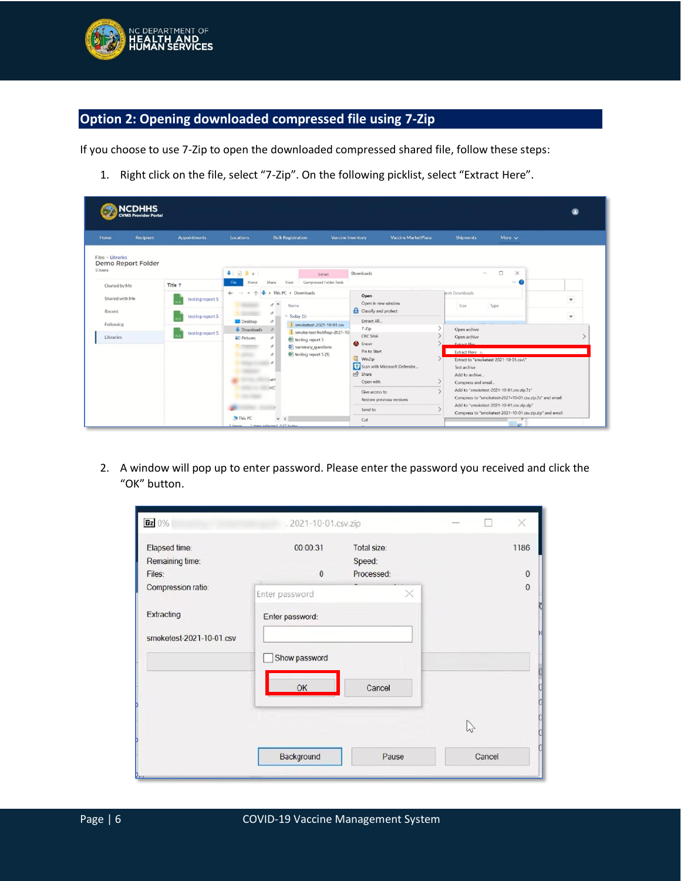

### **Option 2: Opening downloaded compressed file using 7-Zip**

If you choose to use 7-Zip to open the downloaded compressed shared file, follow these steps:

1. Right click on the file, select "7-Zip". On the following picklist, select "Extract Here".

|                                                                                                                         | NCDHHS<br>CVMS Provider Portal |                                                                     |                                                                                                                                            |                                                                                                                                                                                                                                                                                   |                                                                                                                                                                                                                                                                                          |                                                                                                                                                                                                                                                                                                                                                                                                                                                                     | ⋒                                                                          |
|-------------------------------------------------------------------------------------------------------------------------|--------------------------------|---------------------------------------------------------------------|--------------------------------------------------------------------------------------------------------------------------------------------|-----------------------------------------------------------------------------------------------------------------------------------------------------------------------------------------------------------------------------------------------------------------------------------|------------------------------------------------------------------------------------------------------------------------------------------------------------------------------------------------------------------------------------------------------------------------------------------|---------------------------------------------------------------------------------------------------------------------------------------------------------------------------------------------------------------------------------------------------------------------------------------------------------------------------------------------------------------------------------------------------------------------------------------------------------------------|----------------------------------------------------------------------------|
| Home                                                                                                                    | Recipient                      | <b>Appointments</b>                                                 | Locations                                                                                                                                  | <b>Bulk Registration</b>                                                                                                                                                                                                                                                          | Vaccine MarketPlace<br><b>Vaccine Inventory</b>                                                                                                                                                                                                                                          | <b>Shipments</b><br>More $\vee$                                                                                                                                                                                                                                                                                                                                                                                                                                     |                                                                            |
| Files > Libraries<br>Demo Report Folder<br>3 items<br>Owned by Me<br>Shared with Me<br>Recent<br>Following<br>Libraries |                                | Title 1<br>testing report 5<br>testing report 5<br>testing report 5 | $+ 21.7$<br>File<br>Share<br>Home<br>$\leftarrow$<br><b>Desktop</b><br>$\rightarrow$ Downloads<br>Pictures<br><b>sam</b><br>HC.<br>This PC | Extract<br>Compressed Folder Tools<br>View<br>> This PC > Downloads<br>$\hat{ }$<br>Name<br>$\vee$ Today (5)<br>smoketest-2021-10-01.csv<br>smoke-test-hotifxsp-2021-10-<br><sup>3</sup> testing report 5<br>summary_questions<br><sup>(3)</sup> testing report 5 (1)<br>$\vee$ < | Downloads<br>Open<br>Open in new window<br>Classify and protect<br>Extract All<br>$7 - Zip$<br>CRC SHA<br>e Eraser<br>Pin to Start<br>WinZip<br>Scan with Microsoft Defender<br>$\overrightarrow{P}$ Share<br>Open with<br>Give access to<br>Restore previous versions<br>Send to<br>Cut | $\Box$<br>$\times$<br>$\vee$ 0<br><b>arch Downloads</b><br>Type<br>Size<br>Open archive<br>Open archive<br><b>Extract files</b><br>Extract Here N<br>Extract to "smoketest-2021-10-01.csv\"<br>Test archive<br>Add to archive<br>Compress and email<br>Add to "smoketest-2021-10-01.csv.zip.7z"<br>Compress to "smoketest-2021-10-01.csv.zip.7z" and email<br>Add to "smoketest-2021-10-01.csv.zip.zip"<br>Compress to "smoketest-2021-10-01.csv.zip.zip" and email | $\overline{\phantom{a}}$<br>$\boldsymbol{\mathrm{v}}$<br>m<br>$\mathbf{v}$ |
|                                                                                                                         |                                |                                                                     | 5 itame 1 itam calartari 527 hutao                                                                                                         |                                                                                                                                                                                                                                                                                   |                                                                                                                                                                                                                                                                                          | <b>Double and</b>                                                                                                                                                                                                                                                                                                                                                                                                                                                   |                                                                            |

2. A window will pop up to enter password. Please enter the password you received and click the "OK" button.

| 220%                                       | . 2021-10-01.csv.zip     |                                     | ×                    |
|--------------------------------------------|--------------------------|-------------------------------------|----------------------|
| Elapsed time:<br>Remaining time:<br>Files: | 00:00:31<br>$\mathbf{0}$ | Total size:<br>Speed:<br>Processed: | 1186<br>$\mathbf{0}$ |
| Compression ratio:                         | Enter password           | ×                                   | $\mathbf 0$          |
| Extracting<br>smoketest-2021-10-01.csv     | Enter password:          |                                     |                      |
|                                            | Show password            |                                     |                      |
|                                            | OK                       | Cancel                              |                      |
|                                            |                          |                                     | W                    |
|                                            | Background               | Pause                               | Cancel               |